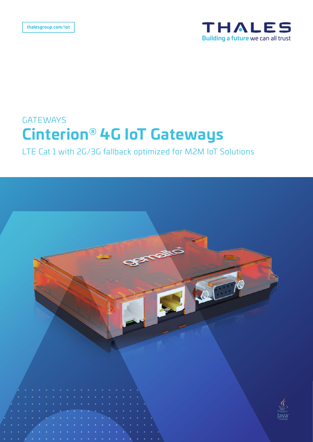

## **GATEWAYS Cinterion® 4G IoT Gateways**

LTE Cat 1 with 2G/3G fallback optimized for M2M IoT Solutions

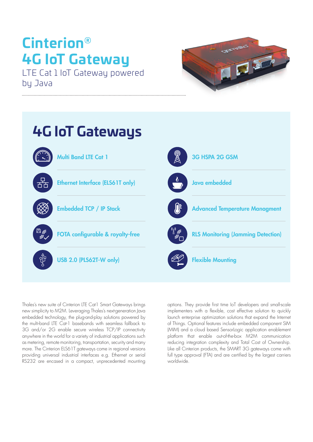# **Cinterion® 4G IoT Gateway**

LTE Cat 1 IoT Gateway powered by Java





Thales's new suite of Cinterion LTE Cat1 Smart Gateways brings new simplicity to M2M. Leveraging Thales's next-generation Java embedded technology, the plug-and-play solutions powered by the multi-band LTE Cat-1 basebands with seamless fallback to 3G and/or 2G enable secure wireless TCP/IP connectivity anywhere in the world for a variety of industrial applications such as metering, remote monitoring, transportation, security and many more. The Cinterion ELS61T gateways come in regional versions providing universal industrial interfaces e.g. Ethernet or serial RS232 are encased in a compact, unprecedented mounting

options. They provide first time IoT developers and small-scale implementers with a flexible, cost effective solution to quickly launch enterprise optimization solutions that expand the Internet of Things. Optional features include embedded component SIM (MIM) and a cloud based SensorLogic application enablement platform that enable out-of-the-box M2M communication reducing integration complexity and Total Cost of Ownership. Like all Cinterion products, the SMART 3G gateways come with full type approval (FTA) and are certified by the largest carriers worldwide.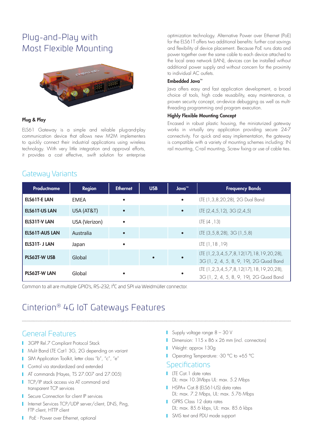## Plug-and-Play with Most Flexible Mounting



#### Plug & Play

ELS61 Gateway is a simple and reliable plug-and-play communication device that allows new M2M implementers to quickly connect their industrial applications using wireless technology. With very little integration and approval efforts, it provides a cost effective, swift solution for enterprise

Gateway Variants

optimization technology. Alternative Power over Ethernet (PoE) for the ELS61T offers two additional benefits: further cost savings and flexibility of device placement. Because PoE runs data and power together over the same cable to each device attached to the local area network (LAN), devices can be installed without additional power supply and without concern for the proximity to individual AC outlets.

#### Embedded Java™

Java offers easy and fast application development, a broad choice of tools, high code reusability, easy maintenance, a proven security concept, on-device debugging as well as multithreading programming and program execution.

#### Highly Flexible Mounting Concept

Encased in robust plastic housing, the miniaturized gateway works in virtually any application providing secure 24-7 connectivity. For quick and easy implementation, the gateway is compatible with a variety of mounting schemes including: IN rail mounting, C-rail mounting, Screw fixing or use of cable ties.

| Productname           | <b>Region</b> | <b>Ethernet</b> | <b>USB</b> | Java <sup>™</sup> | <b>Frequency Bands</b>                                                                        |
|-----------------------|---------------|-----------------|------------|-------------------|-----------------------------------------------------------------------------------------------|
| <b>ELS61T-E LAN</b>   | <b>FMFA</b>   | $\bullet$       |            | $\bullet$         | LTE (1,3,8,20,28), 2G Dual Band                                                               |
| <b>ELS61T-US LAN</b>  | USA (AT&T)    |                 |            | $\bullet$         | LTE $(2,4,5,12)$ , 3G $(2,4,5)$                                                               |
| <b>ELS31T-V LAN</b>   | USA (Verizon) | $\bullet$       |            |                   | LTE $(4, 13)$                                                                                 |
| <b>ELS61T-AUS LAN</b> | Australia     |                 |            | $\bullet$         | LTE (3,5,8,28), 3G (1,5,8)                                                                    |
| ELS31T- J LAN         | Japan         | $\bullet$       |            |                   | LTE $(1, 18, 19)$                                                                             |
| <b>PLS62T-W USB</b>   | Global        |                 | $\bullet$  | $\bullet$         | LTE (1, 2, 3, 4, 5, 7, 8, 12(17), 18, 19, 20, 28),<br>3G (1, 2, 4, 5, 8, 9, 19), 2G Quad Band |
| <b>PLS62T-W LAN</b>   | Global        |                 |            |                   | LTE (1, 2, 3, 4, 5, 7, 8, 12(17), 18, 19, 20, 28),<br>3G (1, 2, 4, 5, 8, 9, 19), 2G Quad Band |

Common to all are multiple GPIO's, RS-232, I²C and SPI via Weidmüller connector.

## Cinterion<sup>®</sup> 4G IoT Gateways Features

#### General Features

- **1** 3GPP Rel.7 Compliant Protocol Stack
- Mulit Band LTE Cat1 3G, 2G depending on variant
- I SIM Application Toolkit, letter class "b", "c", "e"
- **Control via standardized and extended**
- AT commands (Hayes, TS 27.007 and 27.005)
- **TCP/IP stack access via AT command and** transparent TCP services
- **Secure Connection for client IP services**
- I Internet Services TCP/UDP server/client, DNS, Ping, FTP client, HTTP client
- **PoE** Power over Ethernet, optional
- Supply voltage range 8 30 V
- Dimension: 115 x 86 x 26 mm (incl. connectors)
- **Neight: approx 130g**
- Operating Temperature: -30 °C to +65 °C

#### **Specifications**

- **LTE** Cat. 1 date rates DL: max 10.3Mbps UL: max. 5.2 Mbps
- **HSPA+ Cat.8 (ELS61-US) data rates** DL: max. 7.2 Mbps, UL: max. 5.76 Mbps
- GPRS Class 12 data rates DL: max. 85.6 kbps, UL: max. 85.6 kbps
- SMS text and PDU mode support